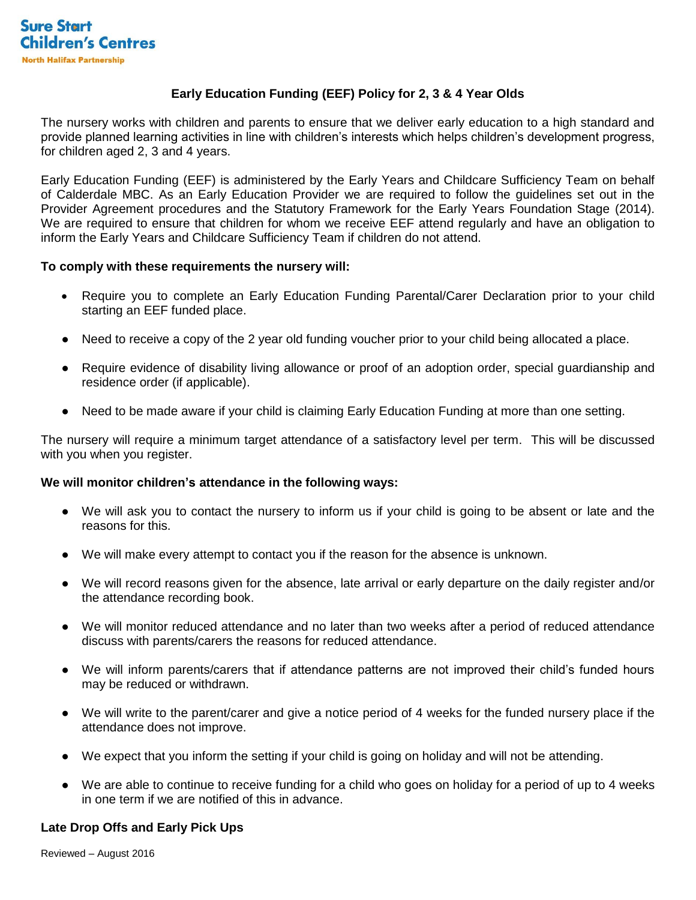# **Early Education Funding (EEF) Policy for 2, 3 & 4 Year Olds**

The nursery works with children and parents to ensure that we deliver early education to a high standard and provide planned learning activities in line with children's interests which helps children's development progress, for children aged 2, 3 and 4 years.

Early Education Funding (EEF) is administered by the Early Years and Childcare Sufficiency Team on behalf of Calderdale MBC. As an Early Education Provider we are required to follow the guidelines set out in the Provider Agreement procedures and the Statutory Framework for the Early Years Foundation Stage (2014). We are required to ensure that children for whom we receive EEF attend reqularly and have an obligation to inform the Early Years and Childcare Sufficiency Team if children do not attend.

#### **To comply with these requirements the nursery will:**

- Require you to complete an Early Education Funding Parental/Carer Declaration prior to your child starting an EEF funded place.
- Need to receive a copy of the 2 year old funding voucher prior to your child being allocated a place.
- Require evidence of disability living allowance or proof of an adoption order, special guardianship and residence order (if applicable).
- Need to be made aware if your child is claiming Early Education Funding at more than one setting.

The nursery will require a minimum target attendance of a satisfactory level per term. This will be discussed with you when you register.

### **We will monitor children's attendance in the following ways:**

- We will ask you to contact the nursery to inform us if your child is going to be absent or late and the reasons for this.
- We will make every attempt to contact you if the reason for the absence is unknown.
- We will record reasons given for the absence, late arrival or early departure on the daily register and/or the attendance recording book.
- We will monitor reduced attendance and no later than two weeks after a period of reduced attendance discuss with parents/carers the reasons for reduced attendance.
- We will inform parents/carers that if attendance patterns are not improved their child's funded hours may be reduced or withdrawn.
- We will write to the parent/carer and give a notice period of 4 weeks for the funded nursery place if the attendance does not improve.
- We expect that you inform the setting if your child is going on holiday and will not be attending.
- We are able to continue to receive funding for a child who goes on holiday for a period of up to 4 weeks in one term if we are notified of this in advance.

### **Late Drop Offs and Early Pick Ups**